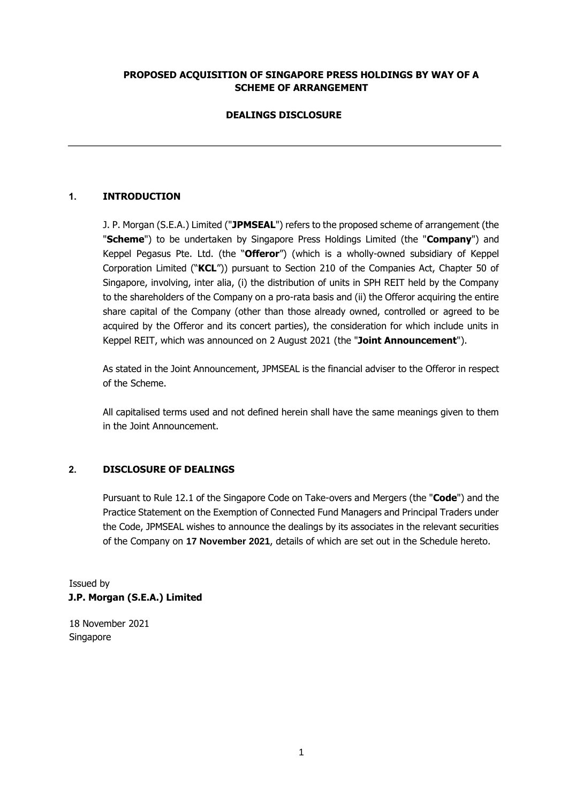### **PROPOSED ACQUISITION OF SINGAPORE PRESS HOLDINGS BY WAY OF A SCHEME OF ARRANGEMENT**

# **DEALINGS DISCLOSURE**

# **1. INTRODUCTION**

J. P. Morgan (S.E.A.) Limited ("**JPMSEAL**") refers to the proposed scheme of arrangement (the "**Scheme**") to be undertaken by Singapore Press Holdings Limited (the "**Company**") and Keppel Pegasus Pte. Ltd. (the "**Offeror**") (which is a wholly-owned subsidiary of Keppel Corporation Limited ("**KCL**")) pursuant to Section 210 of the Companies Act, Chapter 50 of Singapore, involving, inter alia, (i) the distribution of units in SPH REIT held by the Company to the shareholders of the Company on a pro-rata basis and (ii) the Offeror acquiring the entire share capital of the Company (other than those already owned, controlled or agreed to be acquired by the Offeror and its concert parties), the consideration for which include units in Keppel REIT, which was announced on 2 August 2021 (the "**Joint Announcement**").

As stated in the Joint Announcement, JPMSEAL is the financial adviser to the Offeror in respect of the Scheme.

All capitalised terms used and not defined herein shall have the same meanings given to them in the Joint Announcement.

### **2. DISCLOSURE OF DEALINGS**

Pursuant to Rule 12.1 of the Singapore Code on Take-overs and Mergers (the "**Code**") and the Practice Statement on the Exemption of Connected Fund Managers and Principal Traders under the Code, JPMSEAL wishes to announce the dealings by its associates in the relevant securities of the Company on **17 November 2021**, details of which are set out in the Schedule hereto.

Issued by **J.P. Morgan (S.E.A.) Limited** 

18 November 2021 Singapore